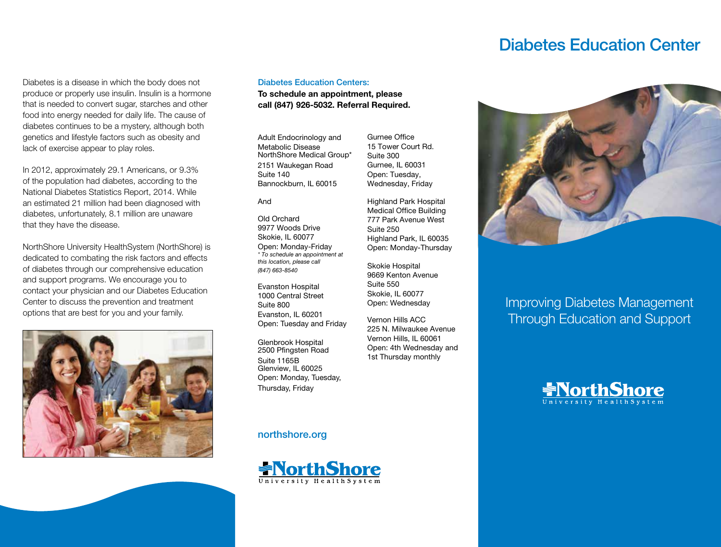# Diabetes Education Center

Diabetes is a disease in which the body does not produce or properly use insulin. Insulin is a hormone that is needed to convert sugar, starches and other food into energy needed for daily life. The cause of diabetes continues to be a mystery, although both genetics and lifestyle factors such as obesity and lack of exercise appear to play roles.

In 2012, approximately 29.1 Americans, or 9.3% of the population had diabetes, according to the National Diabetes Statistics Report, 2014. While an estimated 21 million had been diagnosed with diabetes, unfortunately, 8.1 million are unaware that they have the disease.

NorthShore University HealthSystem (NorthShore) is dedicated to combating the risk factors and effects of diabetes through our comprehensive education and support programs. We encourage you to contact your physician and our Diabetes Education Center to discuss the prevention and treatment options that are best for you and your family.



#### Diabetes Education Centers:

**To schedule an appointment, please call (847) 926-5032. Referral Required.** 

Adult Endocrinology and Metabolic Disease NorthShore Medical Group\* 2151 Waukegan Road Suite 140 Bannockburn, IL 60015

And

Old Orchard 9977 Woods Drive Skokie, IL 60077 Open: Monday-Friday *\* To schedule an appointment at this location, please call (847) 663-8540*

Evanston Hospital 1000 Central Street Suite 800 Evanston, IL 60201 Open: Tuesday and Friday

Glenbrook Hospital 2500 Pfingsten Road Suite 1165B Glenview, IL 60025 Open: Monday, Tuesday, Thursday, Friday

## northshore.org



Gurnee Office 15 Tower Court Rd. Suite 300 Gurnee, IL 60031 Open: Tuesday, Wednesday, Friday

Highland Park Hospital Medical Office Building 777 Park Avenue West Suite 250 Highland Park, IL 60035 Open: Monday-Thursday

Skokie Hospital 9669 Kenton Avenue Suite 550 Skokie, IL 60077 Open: Wednesday

Vernon Hills ACC 225 N. Milwaukee Avenue Vernon Hills, IL 60061 Open: 4th Wednesday and 1st Thursday monthly



Improving Diabetes Management Through Education and Support